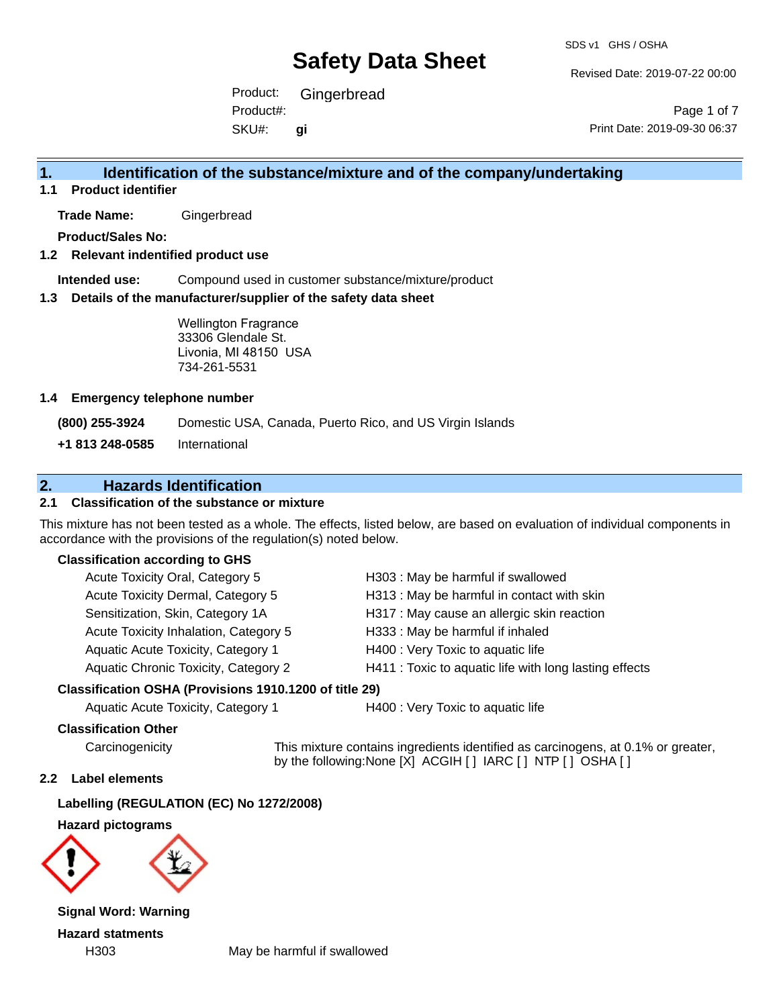Revised Date: 2019-07-22 00:00

Product: Gingerbread SKU#: Product#: **gi**

Page 1 of 7 Print Date: 2019-09-30 06:37

### **1. Identification of the substance/mixture and of the company/undertaking**

**1.1 Product identifier**

**Trade Name:** Gingerbread

**Product/Sales No:**

#### **1.2 Relevant indentified product use**

**Intended use:** Compound used in customer substance/mixture/product

#### **1.3 Details of the manufacturer/supplier of the safety data sheet**

Wellington Fragrance 33306 Glendale St. Livonia, MI 48150 USA 734-261-5531

#### **1.4 Emergency telephone number**

**(800) 255-3924** Domestic USA, Canada, Puerto Rico, and US Virgin Islands

**+1 813 248-0585** International

### **2. Hazards Identification**

#### **2.1 Classification of the substance or mixture**

This mixture has not been tested as a whole. The effects, listed below, are based on evaluation of individual components in accordance with the provisions of the regulation(s) noted below.

#### **Classification according to GHS**

| Acute Toxicity Oral, Category 5       | H303 : May be harmful if swallowed                     |
|---------------------------------------|--------------------------------------------------------|
| Acute Toxicity Dermal, Category 5     | H313: May be harmful in contact with skin              |
| Sensitization, Skin, Category 1A      | H317 : May cause an allergic skin reaction             |
| Acute Toxicity Inhalation, Category 5 | H333: May be harmful if inhaled                        |
| Aquatic Acute Toxicity, Category 1    | H400 : Very Toxic to aquatic life                      |
| Aquatic Chronic Toxicity, Category 2  | H411 : Toxic to aquatic life with long lasting effects |
|                                       |                                                        |

#### **Classification OSHA (Provisions 1910.1200 of title 29)**

Aquatic Acute Toxicity, Category 1 H400 : Very Toxic to aquatic life

#### **Classification Other**

Carcinogenicity This mixture contains ingredients identified as carcinogens, at 0.1% or greater, by the following:None [X] ACGIH [ ] IARC [ ] NTP [ ] OSHA [ ]

#### **2.2 Label elements**

**Labelling (REGULATION (EC) No 1272/2008)**

**Hazard pictograms**



**Signal Word: Warning Hazard statments**

H303 May be harmful if swallowed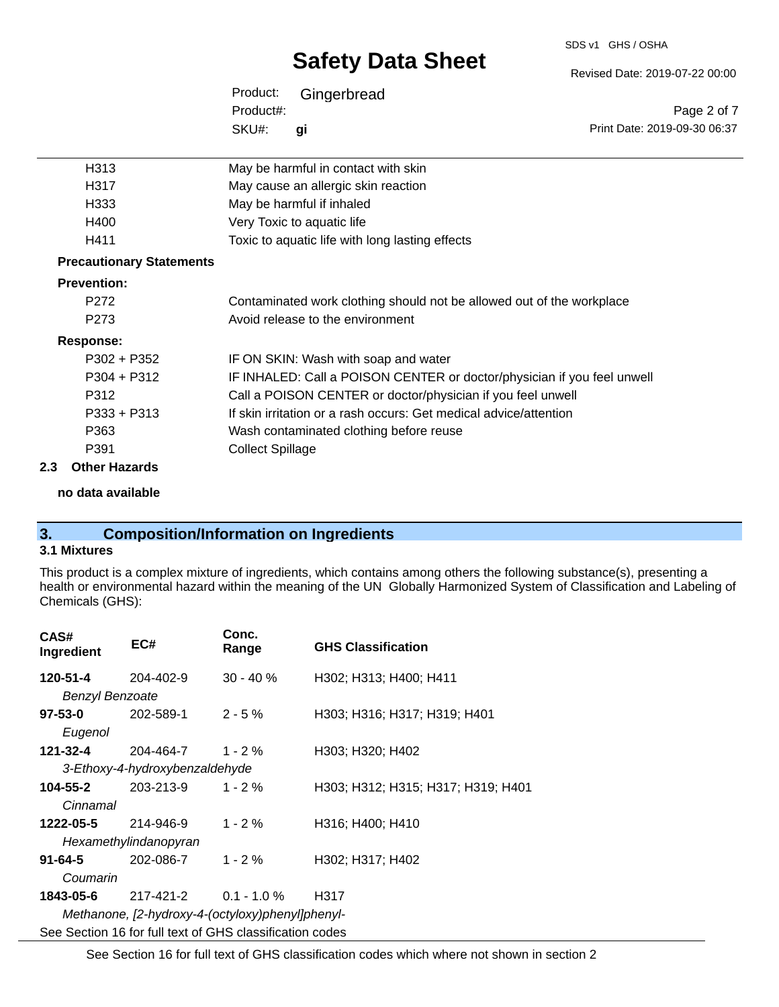#### SDS v1 GHS / OSHA

# **Safety Data Sheet**

Revised Date: 2019-07-22 00:00

Print Date: 2019-09-30 06:37

Page 2 of 7

| Product:  | Gingerbread |
|-----------|-------------|
| Product#: |             |
| SKU#:     | qi          |

| H313                            | May be harmful in contact with skin                                     |
|---------------------------------|-------------------------------------------------------------------------|
| H317                            | May cause an allergic skin reaction                                     |
| H333                            | May be harmful if inhaled                                               |
| H400                            | Very Toxic to aquatic life                                              |
| H411                            | Toxic to aquatic life with long lasting effects                         |
| <b>Precautionary Statements</b> |                                                                         |
| <b>Prevention:</b>              |                                                                         |
| P272                            | Contaminated work clothing should not be allowed out of the workplace   |
| P273                            | Avoid release to the environment                                        |
| Response:                       |                                                                         |
| $P302 + P352$                   | IF ON SKIN: Wash with soap and water                                    |
| P304 + P312                     | IF INHALED: Call a POISON CENTER or doctor/physician if you feel unwell |
| P312                            | Call a POISON CENTER or doctor/physician if you feel unwell             |
| P333 + P313                     | If skin irritation or a rash occurs: Get medical advice/attention       |
| P363                            | Wash contaminated clothing before reuse                                 |

P391 Collect Spillage

### **2.3 Other Hazards**

**no data available**

### **3. Composition/Information on Ingredients**

#### **3.1 Mixtures**

This product is a complex mixture of ingredients, which contains among others the following substance(s), presenting a health or environmental hazard within the meaning of the UN Globally Harmonized System of Classification and Labeling of Chemicals (GHS):

| CAS#<br>Ingredient                               | EC#                                                      | Conc.<br>Range | <b>GHS Classification</b>          |
|--------------------------------------------------|----------------------------------------------------------|----------------|------------------------------------|
| 120-51-4                                         | 204-402-9                                                | $30 - 40 \%$   | H302; H313; H400; H411             |
| <b>Benzyl Benzoate</b>                           |                                                          |                |                                    |
| 97-53-0                                          | 202-589-1                                                | $2 - 5%$       | H303; H316; H317; H319; H401       |
| Eugenol                                          |                                                          |                |                                    |
| 121-32-4                                         | 204-464-7                                                | $1 - 2 \%$     | H303; H320; H402                   |
|                                                  | 3-Ethoxy-4-hydroxybenzaldehyde                           |                |                                    |
| 104-55-2                                         | 203-213-9                                                | $1 - 2 \%$     | H303; H312; H315; H317; H319; H401 |
| Cinnamal                                         |                                                          |                |                                    |
| 1222-05-5                                        | 214-946-9                                                | $1 - 2 \%$     | H316; H400; H410                   |
|                                                  | Hexamethylindanopyran                                    |                |                                    |
| 91-64-5                                          | 202-086-7                                                | $1 - 2 \%$     | H302; H317; H402                   |
| Coumarin                                         |                                                          |                |                                    |
| 1843-05-6                                        | 217-421-2                                                | $0.1 - 1.0 %$  | H317                               |
| Methanone, [2-hydroxy-4-(octyloxy)phenyl]phenyl- |                                                          |                |                                    |
|                                                  | See Section 16 for full text of GHS classification codes |                |                                    |

See Section 16 for full text of GHS classification codes which where not shown in section 2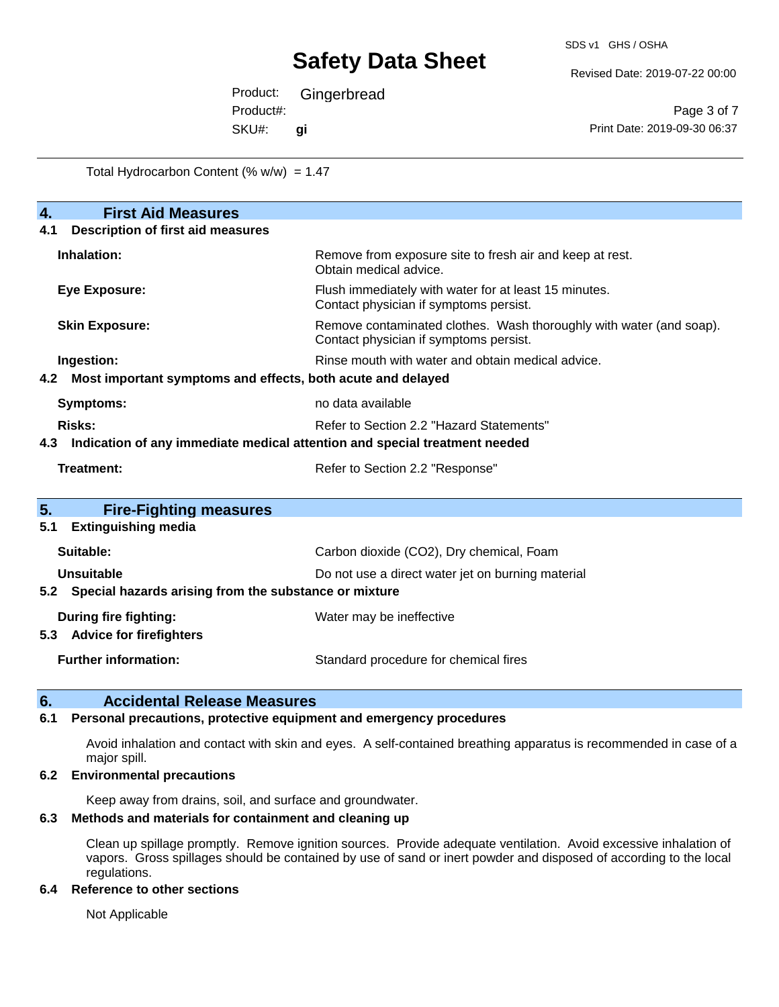Revised Date: 2019-07-22 00:00

Product: Gingerbread SKU#: Product#: **gi**

Page 3 of 7 Print Date: 2019-09-30 06:37

Total Hydrocarbon Content  $(% \mathcal{O}_{N})$  = 1.47

| 4.<br><b>First Aid Measures</b>                                                   |                                                                                                               |  |  |  |
|-----------------------------------------------------------------------------------|---------------------------------------------------------------------------------------------------------------|--|--|--|
| <b>Description of first aid measures</b><br>4.1                                   |                                                                                                               |  |  |  |
| Inhalation:                                                                       | Remove from exposure site to fresh air and keep at rest.<br>Obtain medical advice.                            |  |  |  |
| <b>Eye Exposure:</b>                                                              | Flush immediately with water for at least 15 minutes.<br>Contact physician if symptoms persist.               |  |  |  |
| <b>Skin Exposure:</b>                                                             | Remove contaminated clothes. Wash thoroughly with water (and soap).<br>Contact physician if symptoms persist. |  |  |  |
| Ingestion:                                                                        | Rinse mouth with water and obtain medical advice.                                                             |  |  |  |
| Most important symptoms and effects, both acute and delayed<br>4.2                |                                                                                                               |  |  |  |
| <b>Symptoms:</b>                                                                  | no data available                                                                                             |  |  |  |
| Risks:                                                                            | Refer to Section 2.2 "Hazard Statements"                                                                      |  |  |  |
| Indication of any immediate medical attention and special treatment needed<br>4.3 |                                                                                                               |  |  |  |
| Treatment:                                                                        | Refer to Section 2.2 "Response"                                                                               |  |  |  |
| 5.<br><b>Fire-Fighting measures</b>                                               |                                                                                                               |  |  |  |
| <b>Extinguishing media</b><br>5.1                                                 |                                                                                                               |  |  |  |
| Suitable:                                                                         | Carbon dioxide (CO2), Dry chemical, Foam                                                                      |  |  |  |
| Unsuitable                                                                        | Do not use a direct water jet on burning material                                                             |  |  |  |
| Special hazards arising from the substance or mixture<br>5.2                      |                                                                                                               |  |  |  |
| During fire fighting:                                                             | Water may be ineffective                                                                                      |  |  |  |
| <b>Advice for firefighters</b><br>5.3                                             |                                                                                                               |  |  |  |
| <b>Further information:</b>                                                       | Standard procedure for chemical fires                                                                         |  |  |  |

#### **6. Accidental Release Measures**

#### **6.1 Personal precautions, protective equipment and emergency procedures**

Avoid inhalation and contact with skin and eyes. A self-contained breathing apparatus is recommended in case of a major spill.

#### **6.2 Environmental precautions**

Keep away from drains, soil, and surface and groundwater.

#### **6.3 Methods and materials for containment and cleaning up**

Clean up spillage promptly. Remove ignition sources. Provide adequate ventilation. Avoid excessive inhalation of vapors. Gross spillages should be contained by use of sand or inert powder and disposed of according to the local regulations.

#### **6.4 Reference to other sections**

Not Applicable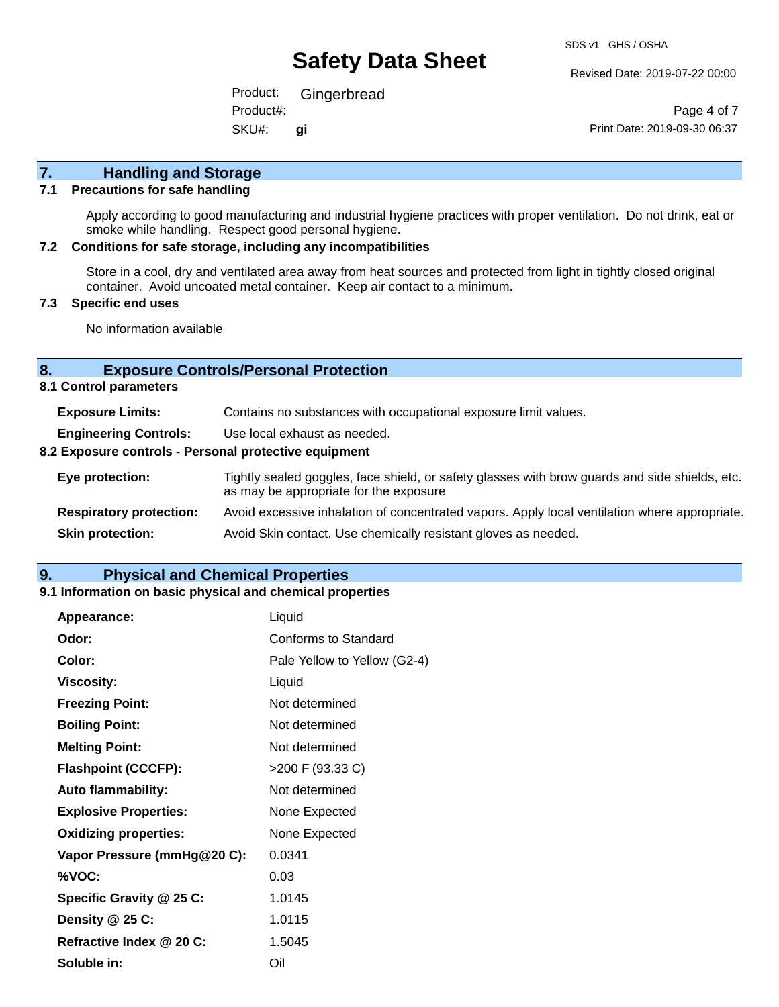Revised Date: 2019-07-22 00:00

Product: Gingerbread SKU#: Product#: **gi**

Page 4 of 7 Print Date: 2019-09-30 06:37

# **7. Handling and Storage**

#### **7.1 Precautions for safe handling**

Apply according to good manufacturing and industrial hygiene practices with proper ventilation. Do not drink, eat or smoke while handling. Respect good personal hygiene.

#### **7.2 Conditions for safe storage, including any incompatibilities**

Store in a cool, dry and ventilated area away from heat sources and protected from light in tightly closed original container. Avoid uncoated metal container. Keep air contact to a minimum.

#### **7.3 Specific end uses**

No information available

#### **8. Exposure Controls/Personal Protection**

**8.1 Control parameters**

| <b>Exposure Limits:</b>                               | Contains no substances with occupational exposure limit values.                                                                          |  |  |
|-------------------------------------------------------|------------------------------------------------------------------------------------------------------------------------------------------|--|--|
| <b>Engineering Controls:</b>                          | Use local exhaust as needed.                                                                                                             |  |  |
| 8.2 Exposure controls - Personal protective equipment |                                                                                                                                          |  |  |
| Eye protection:                                       | Tightly sealed goggles, face shield, or safety glasses with brow guards and side shields, etc.<br>as may be appropriate for the exposure |  |  |
| <b>Respiratory protection:</b>                        | Avoid excessive inhalation of concentrated vapors. Apply local ventilation where appropriate.                                            |  |  |
| <b>Skin protection:</b>                               | Avoid Skin contact. Use chemically resistant gloves as needed.                                                                           |  |  |

#### **9. Physical and Chemical Properties**

#### **9.1 Information on basic physical and chemical properties**

| Appearance:                  | Liquid                       |
|------------------------------|------------------------------|
| Odor:                        | Conforms to Standard         |
| Color:                       | Pale Yellow to Yellow (G2-4) |
| <b>Viscosity:</b>            | Liquid                       |
| <b>Freezing Point:</b>       | Not determined               |
| <b>Boiling Point:</b>        | Not determined               |
| <b>Melting Point:</b>        | Not determined               |
| <b>Flashpoint (CCCFP):</b>   | >200 F (93.33 C)             |
| <b>Auto flammability:</b>    | Not determined               |
| <b>Explosive Properties:</b> | None Expected                |
| <b>Oxidizing properties:</b> | None Expected                |
| Vapor Pressure (mmHg@20 C):  | 0.0341                       |
| %VOC:                        | 0.03                         |
| Specific Gravity @ 25 C:     | 1.0145                       |
| Density @ 25 C:              | 1.0115                       |
| Refractive Index @ 20 C:     | 1.5045                       |
| Soluble in:                  | Oil                          |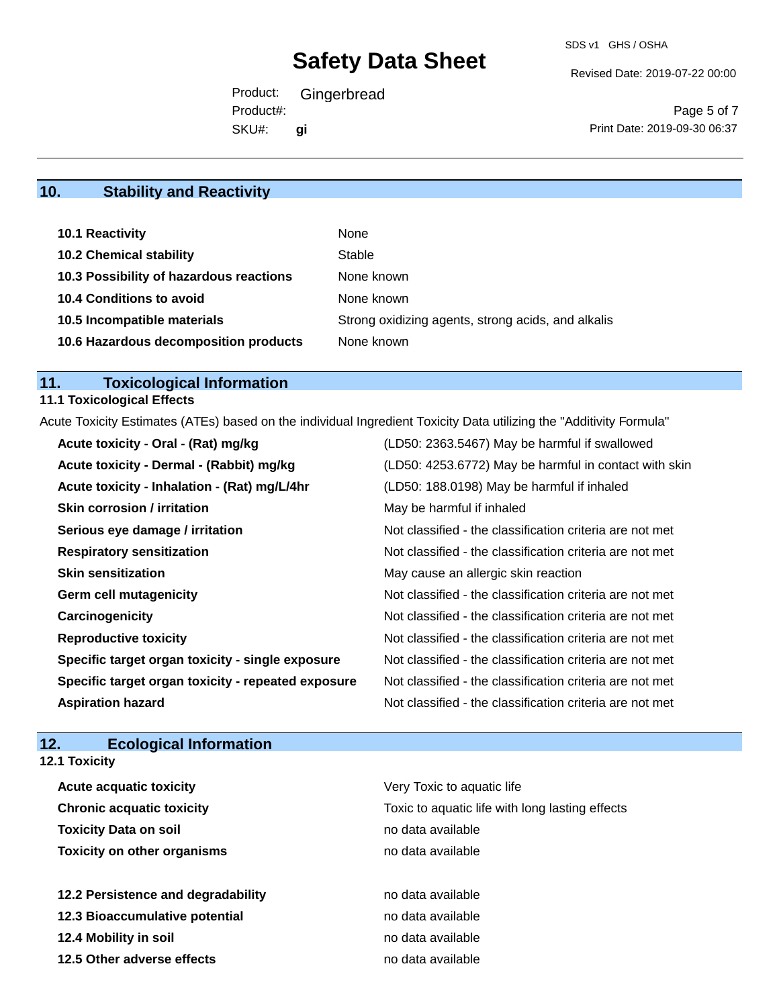Revised Date: 2019-07-22 00:00

Product: Gingerbread SKU#: Product#: **gi**

Page 5 of 7 Print Date: 2019-09-30 06:37

## **10. Stability and Reactivity**

| 10.1 Reactivity                         | None                                               |
|-----------------------------------------|----------------------------------------------------|
| <b>10.2 Chemical stability</b>          | Stable                                             |
| 10.3 Possibility of hazardous reactions | None known                                         |
| <b>10.4 Conditions to avoid</b>         | None known                                         |
| 10.5 Incompatible materials             | Strong oxidizing agents, strong acids, and alkalis |
| 10.6 Hazardous decomposition products   | None known                                         |

# **11. Toxicological Information**

## **11.1 Toxicological Effects**

Acute Toxicity Estimates (ATEs) based on the individual Ingredient Toxicity Data utilizing the "Additivity Formula"

| Acute toxicity - Oral - (Rat) mg/kg                | (LD50: 2363.5467) May be harmful if swallowed            |
|----------------------------------------------------|----------------------------------------------------------|
| Acute toxicity - Dermal - (Rabbit) mg/kg           | (LD50: 4253.6772) May be harmful in contact with skin    |
| Acute toxicity - Inhalation - (Rat) mg/L/4hr       | (LD50: 188.0198) May be harmful if inhaled               |
| <b>Skin corrosion / irritation</b>                 | May be harmful if inhaled                                |
| Serious eye damage / irritation                    | Not classified - the classification criteria are not met |
| <b>Respiratory sensitization</b>                   | Not classified - the classification criteria are not met |
| <b>Skin sensitization</b>                          | May cause an allergic skin reaction                      |
| <b>Germ cell mutagenicity</b>                      | Not classified - the classification criteria are not met |
| Carcinogenicity                                    | Not classified - the classification criteria are not met |
| <b>Reproductive toxicity</b>                       | Not classified - the classification criteria are not met |
| Specific target organ toxicity - single exposure   | Not classified - the classification criteria are not met |
| Specific target organ toxicity - repeated exposure | Not classified - the classification criteria are not met |
| <b>Aspiration hazard</b>                           | Not classified - the classification criteria are not met |

### **12. Ecological Information**

| <b>12.1 Toxicity</b>               |                                                 |
|------------------------------------|-------------------------------------------------|
| <b>Acute acquatic toxicity</b>     | Very Toxic to aquatic life                      |
| <b>Chronic acquatic toxicity</b>   | Toxic to aquatic life with long lasting effects |
| <b>Toxicity Data on soil</b>       | no data available                               |
| <b>Toxicity on other organisms</b> | no data available                               |
| 12.2 Persistence and degradability | no data available                               |
| 12.3 Bioaccumulative potential     | no data available                               |
| 12.4 Mobility in soil              | no data available                               |
| 12.5 Other adverse effects         | no data available                               |
|                                    |                                                 |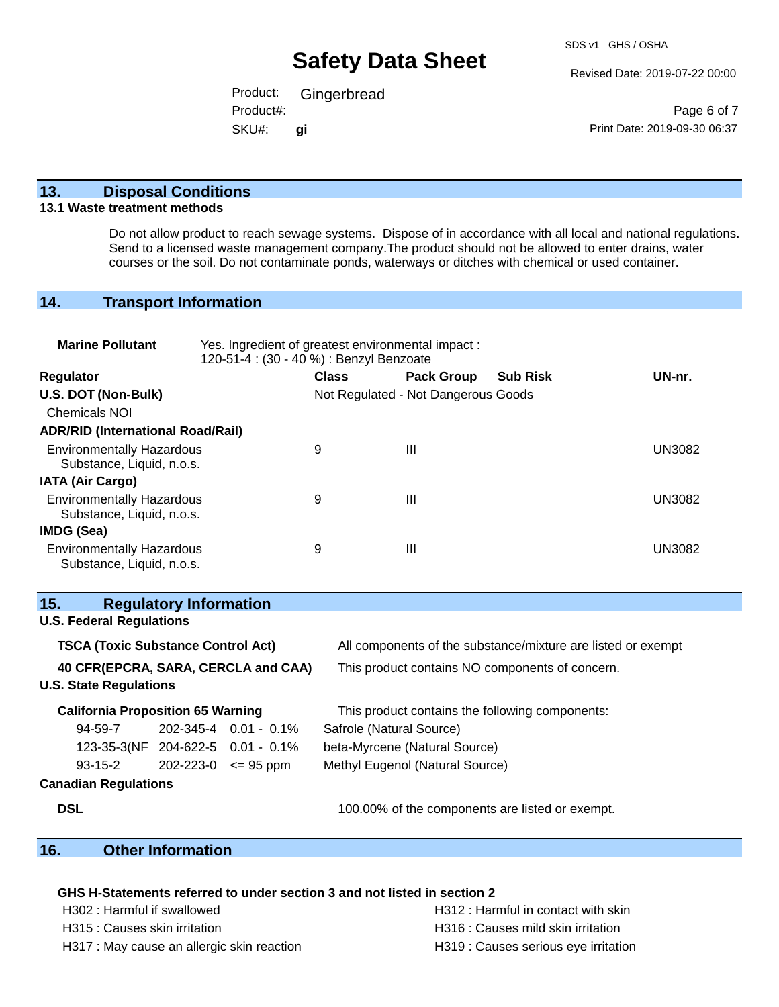Revised Date: 2019-07-22 00:00

Product: Gingerbread SKU#: Product#: **gi**

Page 6 of 7 Print Date: 2019-09-30 06:37

#### **13. Disposal Conditions**

#### **13.1 Waste treatment methods**

Do not allow product to reach sewage systems. Dispose of in accordance with all local and national regulations. Send to a licensed waste management company.The product should not be allowed to enter drains, water courses or the soil. Do not contaminate ponds, waterways or ditches with chemical or used container.

### **14. Transport Information**

| <b>Marine Pollutant</b>                                                                                   | Yes. Ingredient of greatest environmental impact:<br>120-51-4 : (30 - 40 %) : Benzyl Benzoate |                                 |                                     |                                                 |               |
|-----------------------------------------------------------------------------------------------------------|-----------------------------------------------------------------------------------------------|---------------------------------|-------------------------------------|-------------------------------------------------|---------------|
| <b>Regulator</b>                                                                                          | <b>Class</b>                                                                                  |                                 | <b>Pack Group</b>                   | <b>Sub Risk</b>                                 | UN-nr.        |
| U.S. DOT (Non-Bulk)                                                                                       |                                                                                               |                                 | Not Regulated - Not Dangerous Goods |                                                 |               |
| <b>Chemicals NOI</b>                                                                                      |                                                                                               |                                 |                                     |                                                 |               |
| <b>ADR/RID (International Road/Rail)</b>                                                                  |                                                                                               |                                 |                                     |                                                 |               |
| <b>Environmentally Hazardous</b><br>Substance, Liquid, n.o.s.                                             |                                                                                               | 9                               | III                                 |                                                 | <b>UN3082</b> |
| <b>IATA (Air Cargo)</b>                                                                                   |                                                                                               |                                 |                                     |                                                 |               |
| <b>Environmentally Hazardous</b><br>Substance, Liquid, n.o.s.                                             |                                                                                               | 9                               | Ш                                   |                                                 | <b>UN3082</b> |
| IMDG (Sea)                                                                                                |                                                                                               |                                 |                                     |                                                 |               |
| <b>Environmentally Hazardous</b><br>Substance, Liquid, n.o.s.                                             |                                                                                               | 9                               | $\mathbf{III}$                      |                                                 | <b>UN3082</b> |
| 15.<br><b>Regulatory Information</b>                                                                      |                                                                                               |                                 |                                     |                                                 |               |
| <b>U.S. Federal Regulations</b>                                                                           |                                                                                               |                                 |                                     |                                                 |               |
| <b>TSCA (Toxic Substance Control Act)</b><br>All components of the substance/mixture are listed or exempt |                                                                                               |                                 |                                     |                                                 |               |
| 40 CFR(EPCRA, SARA, CERCLA and CAA)<br>This product contains NO components of concern.                    |                                                                                               |                                 |                                     |                                                 |               |
| <b>U.S. State Regulations</b>                                                                             |                                                                                               |                                 |                                     |                                                 |               |
| <b>California Proposition 65 Warning</b>                                                                  |                                                                                               |                                 |                                     | This product contains the following components: |               |
| 94-59-7                                                                                                   | 202-345-4 0.01 - 0.1%                                                                         | Safrole (Natural Source)        |                                     |                                                 |               |
| 123-35-3(NF 204-622-5 0.01 - 0.1%                                                                         |                                                                                               | beta-Myrcene (Natural Source)   |                                     |                                                 |               |
| $93-15-2$                                                                                                 | $202 - 223 - 0 \leq 95$ ppm                                                                   | Methyl Eugenol (Natural Source) |                                     |                                                 |               |
| <b>Canadian Regulations</b>                                                                               |                                                                                               |                                 |                                     |                                                 |               |
| <b>DSL</b>                                                                                                |                                                                                               |                                 |                                     | 100.00% of the components are listed or exempt. |               |

### **16. Other Information**

#### **GHS H-Statements referred to under section 3 and not listed in section 2**

H317 : May cause an allergic skin reaction **H319** : Causes serious eye irritation

H302 : Harmful if swallowed **H312** : Harmful in contact with skin H315 : Causes skin irritation et al. (a) H316 : Causes mild skin irritation https://www.html